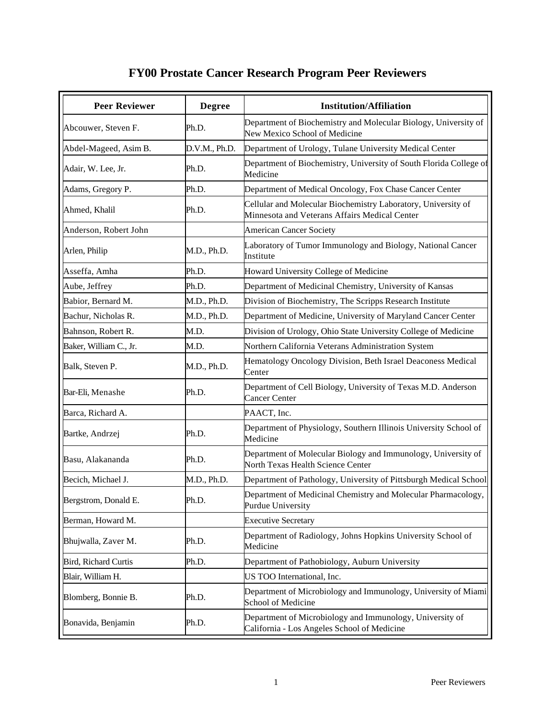## **FY00 Prostate Cancer Research Program Peer Reviewers**

| <b>Peer Reviewer</b>   | <b>Degree</b> | <b>Institution/Affiliation</b>                                                                                 |
|------------------------|---------------|----------------------------------------------------------------------------------------------------------------|
| Abcouwer, Steven F.    | Ph.D.         | Department of Biochemistry and Molecular Biology, University of<br>New Mexico School of Medicine               |
| Abdel-Mageed, Asim B.  | D.V.M., Ph.D. | Department of Urology, Tulane University Medical Center                                                        |
| Adair, W. Lee, Jr.     | Ph.D.         | Department of Biochemistry, University of South Florida College of<br>Medicine                                 |
| Adams, Gregory P.      | Ph.D.         | Department of Medical Oncology, Fox Chase Cancer Center                                                        |
| Ahmed, Khalil          | Ph.D.         | Cellular and Molecular Biochemistry Laboratory, University of<br>Minnesota and Veterans Affairs Medical Center |
| Anderson, Robert John  |               | <b>American Cancer Society</b>                                                                                 |
| Arlen, Philip          | M.D., Ph.D.   | Laboratory of Tumor Immunology and Biology, National Cancer<br>Institute                                       |
| Asseffa, Amha          | Ph.D.         | Howard University College of Medicine                                                                          |
| Aube, Jeffrey          | Ph.D.         | Department of Medicinal Chemistry, University of Kansas                                                        |
| Babior, Bernard M.     | M.D., Ph.D.   | Division of Biochemistry, The Scripps Research Institute                                                       |
| Bachur, Nicholas R.    | M.D., Ph.D.   | Department of Medicine, University of Maryland Cancer Center                                                   |
| Bahnson, Robert R.     | M.D.          | Division of Urology, Ohio State University College of Medicine                                                 |
| Baker, William C., Jr. | M.D.          | Northern California Veterans Administration System                                                             |
| Balk, Steven P.        | M.D., Ph.D.   | Hematology Oncology Division, Beth Israel Deaconess Medical<br>Center                                          |
| Bar-Eli, Menashe       | Ph.D.         | Department of Cell Biology, University of Texas M.D. Anderson<br><b>Cancer Center</b>                          |
| Barca, Richard A.      |               | PAACT, Inc.                                                                                                    |
| Bartke, Andrzej        | Ph.D.         | Department of Physiology, Southern Illinois University School of<br>Medicine                                   |
| Basu, Alakananda       | Ph.D.         | Department of Molecular Biology and Immunology, University of<br>North Texas Health Science Center             |
| Becich, Michael J.     | M.D., Ph.D.   | Department of Pathology, University of Pittsburgh Medical School                                               |
| Bergstrom, Donald E.   | Ph.D.         | Department of Medicinal Chemistry and Molecular Pharmacology,<br><b>Purdue University</b>                      |
| Berman, Howard M.      |               | <b>Executive Secretary</b>                                                                                     |
| Bhujwalla, Zaver M.    | Ph.D.         | Department of Radiology, Johns Hopkins University School of<br>Medicine                                        |
| Bird, Richard Curtis   | Ph.D.         | Department of Pathobiology, Auburn University                                                                  |
| Blair, William H.      |               | US TOO International, Inc.                                                                                     |
| Blomberg, Bonnie B.    | Ph.D.         | Department of Microbiology and Immunology, University of Miami<br>School of Medicine                           |
| Bonavida, Benjamin     | Ph.D.         | Department of Microbiology and Immunology, University of<br>California - Los Angeles School of Medicine        |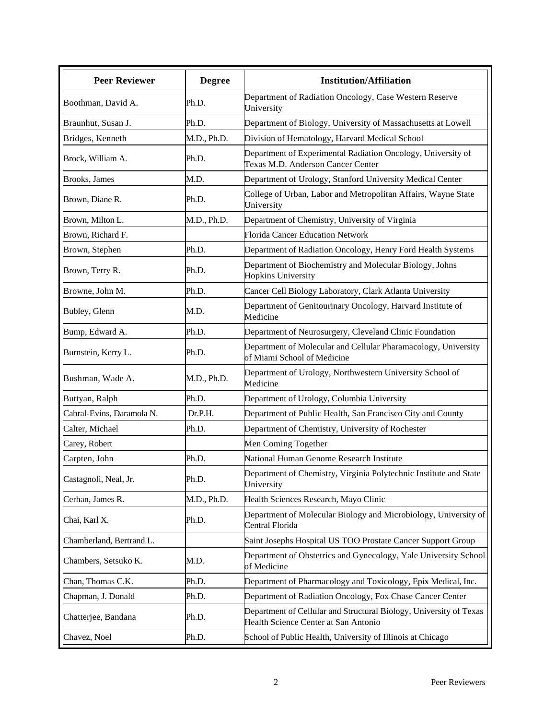| Boothman, David A.<br>Braunhut, Susan J. | Ph.D.<br>Ph.D. | Department of Radiation Oncology, Case Western Reserve<br>University                                       |
|------------------------------------------|----------------|------------------------------------------------------------------------------------------------------------|
|                                          |                |                                                                                                            |
|                                          |                | Department of Biology, University of Massachusetts at Lowell                                               |
| Bridges, Kenneth                         | M.D., Ph.D.    | Division of Hematology, Harvard Medical School                                                             |
| Brock, William A.                        | Ph.D.          | Department of Experimental Radiation Oncology, University of<br>Texas M.D. Anderson Cancer Center          |
| Brooks, James                            | M.D.           | Department of Urology, Stanford University Medical Center                                                  |
| Brown, Diane R.                          | Ph.D.          | College of Urban, Labor and Metropolitan Affairs, Wayne State<br>University                                |
| Brown, Milton L.                         | M.D., Ph.D.    | Department of Chemistry, University of Virginia                                                            |
| Brown, Richard F.                        |                | <b>Florida Cancer Education Network</b>                                                                    |
| Brown, Stephen                           | Ph.D.          | Department of Radiation Oncology, Henry Ford Health Systems                                                |
| Brown, Terry R.                          | Ph.D.          | Department of Biochemistry and Molecular Biology, Johns<br><b>Hopkins University</b>                       |
| Browne, John M.                          | Ph.D.          | Cancer Cell Biology Laboratory, Clark Atlanta University                                                   |
| Bubley, Glenn                            | M.D.           | Department of Genitourinary Oncology, Harvard Institute of<br>Medicine                                     |
| Bump, Edward A.                          | Ph.D.          | Department of Neurosurgery, Cleveland Clinic Foundation                                                    |
| Burnstein, Kerry L.                      | Ph.D.          | Department of Molecular and Cellular Pharamacology, University<br>of Miami School of Medicine              |
| Bushman, Wade A.                         | M.D., Ph.D.    | Department of Urology, Northwestern University School of<br>Medicine                                       |
| Buttyan, Ralph                           | Ph.D.          | Department of Urology, Columbia University                                                                 |
| Cabral-Evins, Daramola N.                | Dr.P.H.        | Department of Public Health, San Francisco City and County                                                 |
| Calter, Michael                          | Ph.D.          | Department of Chemistry, University of Rochester                                                           |
| Carey, Robert                            |                | Men Coming Together                                                                                        |
| Carpten, John                            | Ph.D.          | National Human Genome Research Institute                                                                   |
| Castagnoli, Neal, Jr.                    | Ph.D.          | Department of Chemistry, Virginia Polytechnic Institute and State<br>University                            |
| Cerhan, James R.                         | M.D., Ph.D.    | Health Sciences Research, Mayo Clinic                                                                      |
| Chai, Karl X.                            | Ph.D.          | Department of Molecular Biology and Microbiology, University of<br>Central Florida                         |
| Chamberland, Bertrand L.                 |                | Saint Josephs Hospital US TOO Prostate Cancer Support Group                                                |
| Chambers, Setsuko K.                     | M.D.           | Department of Obstetrics and Gynecology, Yale University School<br>of Medicine                             |
| Chan, Thomas C.K.                        | Ph.D.          | Department of Pharmacology and Toxicology, Epix Medical, Inc.                                              |
| Chapman, J. Donald                       | Ph.D.          | Department of Radiation Oncology, Fox Chase Cancer Center                                                  |
| Chatterjee, Bandana                      | Ph.D.          | Department of Cellular and Structural Biology, University of Texas<br>Health Science Center at San Antonio |
| Chavez, Noel                             | Ph.D.          | School of Public Health, University of Illinois at Chicago                                                 |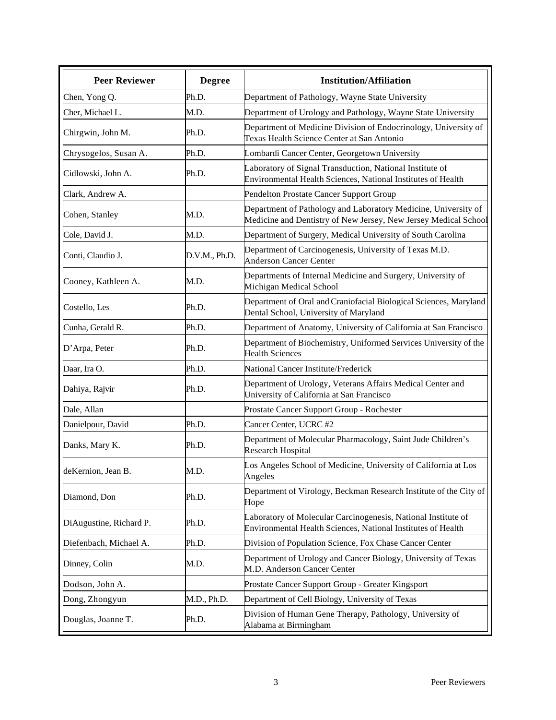| <b>Peer Reviewer</b>    | <b>Degree</b> | <b>Institution/Affiliation</b>                                                                                                    |
|-------------------------|---------------|-----------------------------------------------------------------------------------------------------------------------------------|
| Chen, Yong Q.           | Ph.D.         | Department of Pathology, Wayne State University                                                                                   |
| Cher, Michael L.        | M.D.          | Department of Urology and Pathology, Wayne State University                                                                       |
| Chirgwin, John M.       | Ph.D.         | Department of Medicine Division of Endocrinology, University of<br>Texas Health Science Center at San Antonio                     |
| Chrysogelos, Susan A.   | Ph.D.         | Lombardi Cancer Center, Georgetown University                                                                                     |
| Cidlowski, John A.      | Ph.D.         | Laboratory of Signal Transduction, National Institute of<br>Environmental Health Sciences, National Institutes of Health          |
| Clark, Andrew A.        |               | Pendelton Prostate Cancer Support Group                                                                                           |
| Cohen, Stanley          | M.D.          | Department of Pathology and Laboratory Medicine, University of<br>Medicine and Dentistry of New Jersey, New Jersey Medical School |
| Cole, David J.          | M.D.          | Department of Surgery, Medical University of South Carolina                                                                       |
| Conti, Claudio J.       | D.V.M., Ph.D. | Department of Carcinogenesis, University of Texas M.D.<br><b>Anderson Cancer Center</b>                                           |
| Cooney, Kathleen A.     | M.D.          | Departments of Internal Medicine and Surgery, University of<br>Michigan Medical School                                            |
| Costello, Les           | Ph.D.         | Department of Oral and Craniofacial Biological Sciences, Maryland<br>Dental School, University of Maryland                        |
| Cunha, Gerald R.        | Ph.D.         | Department of Anatomy, University of California at San Francisco                                                                  |
| D'Arpa, Peter           | Ph.D.         | Department of Biochemistry, Uniformed Services University of the<br><b>Health Sciences</b>                                        |
| Daar, Ira O.            | Ph.D.         | National Cancer Institute/Frederick                                                                                               |
| Dahiya, Rajvir          | Ph.D.         | Department of Urology, Veterans Affairs Medical Center and<br>University of California at San Francisco                           |
| Dale, Allan             |               | Prostate Cancer Support Group - Rochester                                                                                         |
| Danielpour, David       | Ph.D.         | Cancer Center, UCRC #2                                                                                                            |
| Danks, Mary K.          | Ph.D.         | Department of Molecular Pharmacology, Saint Jude Children's<br>Research Hospital                                                  |
| deKernion, Jean B.      | M.D.          | Los Angeles School of Medicine, University of California at Los<br>Angeles                                                        |
| Diamond, Don            | Ph.D.         | Department of Virology, Beckman Research Institute of the City of<br>Hope                                                         |
| DiAugustine, Richard P. | Ph.D.         | Laboratory of Molecular Carcinogenesis, National Institute of<br>Environmental Health Sciences, National Institutes of Health     |
| Diefenbach, Michael A.  | Ph.D.         | Division of Population Science, Fox Chase Cancer Center                                                                           |
| Dinney, Colin           | M.D.          | Department of Urology and Cancer Biology, University of Texas<br>M.D. Anderson Cancer Center                                      |
| Dodson, John A.         |               | Prostate Cancer Support Group - Greater Kingsport                                                                                 |
| Dong, Zhongyun          | M.D., Ph.D.   | Department of Cell Biology, University of Texas                                                                                   |
| Douglas, Joanne T.      | Ph.D.         | Division of Human Gene Therapy, Pathology, University of<br>Alabama at Birmingham                                                 |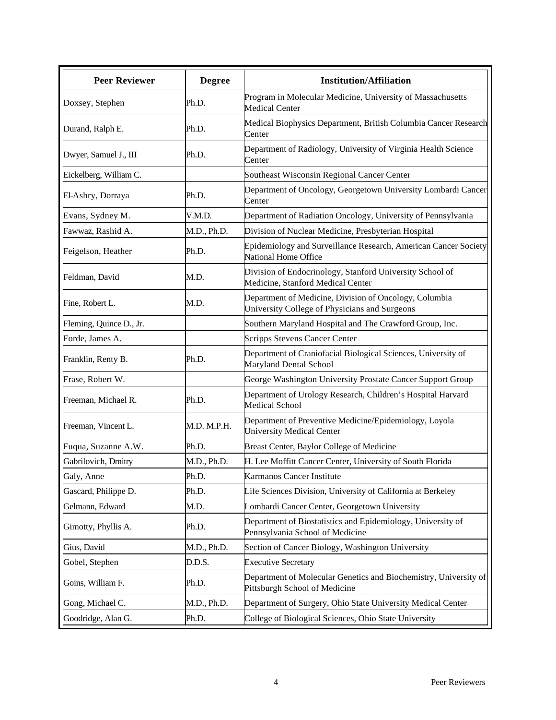| <b>Peer Reviewer</b>    | <b>Degree</b> | <b>Institution/Affiliation</b>                                                                          |
|-------------------------|---------------|---------------------------------------------------------------------------------------------------------|
| Doxsey, Stephen         | Ph.D.         | Program in Molecular Medicine, University of Massachusetts<br><b>Medical Center</b>                     |
| Durand, Ralph E.        | Ph.D.         | Medical Biophysics Department, British Columbia Cancer Research<br>Center                               |
| Dwyer, Samuel J., III   | Ph.D.         | Department of Radiology, University of Virginia Health Science<br>Center                                |
| Eickelberg, William C.  |               | Southeast Wisconsin Regional Cancer Center                                                              |
| El-Ashry, Dorraya       | Ph.D.         | Department of Oncology, Georgetown University Lombardi Cancer<br>Center                                 |
| Evans, Sydney M.        | V.M.D.        | Department of Radiation Oncology, University of Pennsylvania                                            |
| Fawwaz, Rashid A.       | M.D., Ph.D.   | Division of Nuclear Medicine, Presbyterian Hospital                                                     |
| Feigelson, Heather      | Ph.D.         | Epidemiology and Surveillance Research, American Cancer Society<br>National Home Office                 |
| Feldman, David          | M.D.          | Division of Endocrinology, Stanford University School of<br>Medicine, Stanford Medical Center           |
| Fine, Robert L.         | M.D.          | Department of Medicine, Division of Oncology, Columbia<br>University College of Physicians and Surgeons |
| Fleming, Quince D., Jr. |               | Southern Maryland Hospital and The Crawford Group, Inc.                                                 |
| Forde, James A.         |               | Scripps Stevens Cancer Center                                                                           |
| Franklin, Renty B.      | Ph.D.         | Department of Craniofacial Biological Sciences, University of<br>Maryland Dental School                 |
| Frase, Robert W.        |               | George Washington University Prostate Cancer Support Group                                              |
| Freeman, Michael R.     | Ph.D.         | Department of Urology Research, Children's Hospital Harvard<br><b>Medical School</b>                    |
| Freeman, Vincent L.     | M.D. M.P.H.   | Department of Preventive Medicine/Epidemiology, Loyola<br><b>University Medical Center</b>              |
| Fuqua, Suzanne A.W.     | Ph.D.         | Breast Center, Baylor College of Medicine                                                               |
| Gabrilovich, Dmitry     | M.D., Ph.D.   | H. Lee Moffitt Cancer Center, University of South Florida                                               |
| Galy, Anne              | Ph.D.         | Karmanos Cancer Institute                                                                               |
| Gascard, Philippe D.    | Ph.D.         | Life Sciences Division, University of California at Berkeley                                            |
| Gelmann, Edward         | M.D.          | Lombardi Cancer Center, Georgetown University                                                           |
| Gimotty, Phyllis A.     | Ph.D.         | Department of Biostatistics and Epidemiology, University of<br>Pennsylvania School of Medicine          |
| Gius, David             | M.D., Ph.D.   | Section of Cancer Biology, Washington University                                                        |
| Gobel, Stephen          | D.D.S.        | <b>Executive Secretary</b>                                                                              |
| Goins, William F.       | Ph.D.         | Department of Molecular Genetics and Biochemistry, University of<br>Pittsburgh School of Medicine       |
| Gong, Michael C.        | M.D., Ph.D.   | Department of Surgery, Ohio State University Medical Center                                             |
| Goodridge, Alan G.      | Ph.D.         | College of Biological Sciences, Ohio State University                                                   |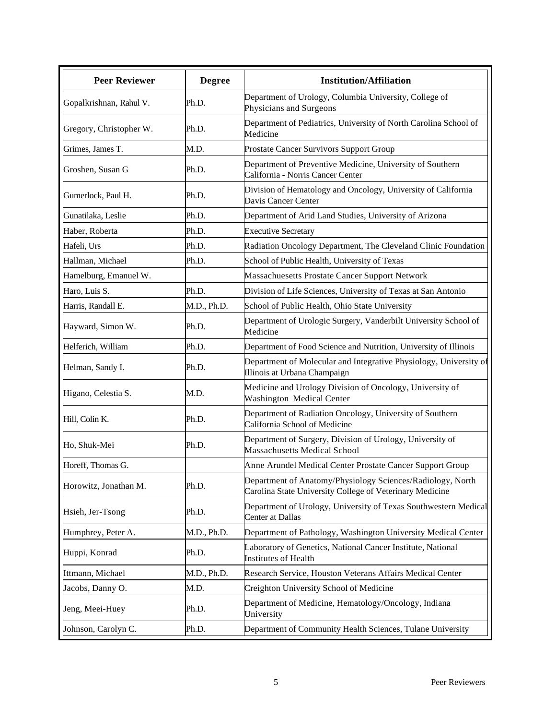| <b>Peer Reviewer</b>    | <b>Degree</b> | <b>Institution/Affiliation</b>                                                                                         |
|-------------------------|---------------|------------------------------------------------------------------------------------------------------------------------|
| Gopalkrishnan, Rahul V. | Ph.D.         | Department of Urology, Columbia University, College of<br>Physicians and Surgeons                                      |
| Gregory, Christopher W. | Ph.D.         | Department of Pediatrics, University of North Carolina School of<br>Medicine                                           |
| Grimes, James T.        | M.D.          | Prostate Cancer Survivors Support Group                                                                                |
| Groshen, Susan G        | Ph.D.         | Department of Preventive Medicine, University of Southern<br>California - Norris Cancer Center                         |
| Gumerlock, Paul H.      | Ph.D.         | Division of Hematology and Oncology, University of California<br>Davis Cancer Center                                   |
| Gunatilaka, Leslie      | Ph.D.         | Department of Arid Land Studies, University of Arizona                                                                 |
| Haber, Roberta          | Ph.D.         | <b>Executive Secretary</b>                                                                                             |
| Hafeli, Urs             | Ph.D.         | Radiation Oncology Department, The Cleveland Clinic Foundation                                                         |
| Hallman, Michael        | Ph.D.         | School of Public Health, University of Texas                                                                           |
| Hamelburg, Emanuel W.   |               | Massachuesetts Prostate Cancer Support Network                                                                         |
| Haro, Luis S.           | Ph.D.         | Division of Life Sciences, University of Texas at San Antonio                                                          |
| Harris, Randall E.      | M.D., Ph.D.   | School of Public Health, Ohio State University                                                                         |
| Hayward, Simon W.       | Ph.D.         | Department of Urologic Surgery, Vanderbilt University School of<br>Medicine                                            |
| Helferich, William      | Ph.D.         | Department of Food Science and Nutrition, University of Illinois                                                       |
| Helman, Sandy I.        | Ph.D.         | Department of Molecular and Integrative Physiology, University of<br>Illinois at Urbana Champaign                      |
| Higano, Celestia S.     | M.D.          | Medicine and Urology Division of Oncology, University of<br>Washington Medical Center                                  |
| Hill, Colin K.          | Ph.D.         | Department of Radiation Oncology, University of Southern<br>California School of Medicine                              |
| Ho, Shuk-Mei            | Ph.D.         | Department of Surgery, Division of Urology, University of<br><b>Massachusetts Medical School</b>                       |
| Horeff, Thomas G.       |               | Anne Arundel Medical Center Prostate Cancer Support Group                                                              |
| Horowitz, Jonathan M.   | Ph.D.         | Department of Anatomy/Physiology Sciences/Radiology, North<br>Carolina State University College of Veterinary Medicine |
| Hsieh, Jer-Tsong        | Ph.D.         | Department of Urology, University of Texas Southwestern Medical<br>Center at Dallas                                    |
| Humphrey, Peter A.      | M.D., Ph.D.   | Department of Pathology, Washington University Medical Center                                                          |
| Huppi, Konrad           | Ph.D.         | Laboratory of Genetics, National Cancer Institute, National<br>Institutes of Health                                    |
| Ittmann, Michael        | M.D., Ph.D.   | Research Service, Houston Veterans Affairs Medical Center                                                              |
| Jacobs, Danny O.        | M.D.          | Creighton University School of Medicine                                                                                |
| Jeng, Meei-Huey         | Ph.D.         | Department of Medicine, Hematology/Oncology, Indiana<br>University                                                     |
| Johnson, Carolyn C.     | Ph.D.         | Department of Community Health Sciences, Tulane University                                                             |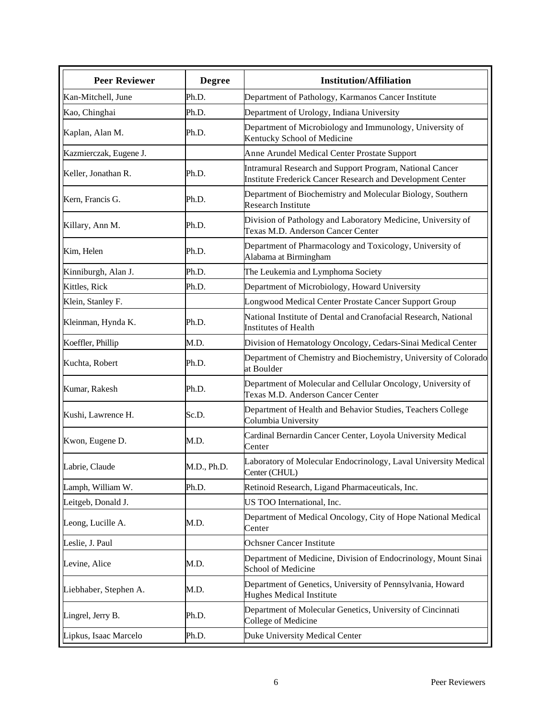| <b>Peer Reviewer</b>   | <b>Degree</b> | <b>Institution/Affiliation</b>                                                                                         |
|------------------------|---------------|------------------------------------------------------------------------------------------------------------------------|
| Kan-Mitchell, June     | Ph.D.         | Department of Pathology, Karmanos Cancer Institute                                                                     |
| Kao, Chinghai          | Ph.D.         | Department of Urology, Indiana University                                                                              |
| Kaplan, Alan M.        | Ph.D.         | Department of Microbiology and Immunology, University of<br>Kentucky School of Medicine                                |
| Kazmierczak, Eugene J. |               | Anne Arundel Medical Center Prostate Support                                                                           |
| Keller, Jonathan R.    | Ph.D.         | Intramural Research and Support Program, National Cancer<br>Institute Frederick Cancer Research and Development Center |
| Kern, Francis G.       | Ph.D.         | Department of Biochemistry and Molecular Biology, Southern<br><b>Research Institute</b>                                |
| Killary, Ann M.        | Ph.D.         | Division of Pathology and Laboratory Medicine, University of<br>Texas M.D. Anderson Cancer Center                      |
| Kim, Helen             | Ph.D.         | Department of Pharmacology and Toxicology, University of<br>Alabama at Birmingham                                      |
| Kinniburgh, Alan J.    | Ph.D.         | The Leukemia and Lymphoma Society                                                                                      |
| Kittles, Rick          | Ph.D.         | Department of Microbiology, Howard University                                                                          |
| Klein, Stanley F.      |               | Longwood Medical Center Prostate Cancer Support Group                                                                  |
| Kleinman, Hynda K.     | Ph.D.         | National Institute of Dental and Cranofacial Research, National<br>Institutes of Health                                |
| Koeffler, Phillip      | M.D.          | Division of Hematology Oncology, Cedars-Sinai Medical Center                                                           |
| Kuchta, Robert         | Ph.D.         | Department of Chemistry and Biochemistry, University of Colorado<br>at Boulder                                         |
| Kumar, Rakesh          | Ph.D.         | Department of Molecular and Cellular Oncology, University of<br>Texas M.D. Anderson Cancer Center                      |
| Kushi, Lawrence H.     | Sc.D.         | Department of Health and Behavior Studies, Teachers College<br>Columbia University                                     |
| Kwon, Eugene D.        | M.D.          | Cardinal Bernardin Cancer Center, Loyola University Medical<br>Center                                                  |
| Labrie, Claude         | M.D., Ph.D.   | Laboratory of Molecular Endocrinology, Laval University Medical<br>Center (CHUL)                                       |
| Lamph, William W.      | Ph.D.         | Retinoid Research, Ligand Pharmaceuticals, Inc.                                                                        |
| Leitgeb, Donald J.     |               | US TOO International, Inc.                                                                                             |
| Leong, Lucille A.      | M.D.          | Department of Medical Oncology, City of Hope National Medical<br>Center                                                |
| Leslie, J. Paul        |               | <b>Ochsner Cancer Institute</b>                                                                                        |
| Levine, Alice          | M.D.          | Department of Medicine, Division of Endocrinology, Mount Sinai<br>School of Medicine                                   |
| Liebhaber, Stephen A.  | M.D.          | Department of Genetics, University of Pennsylvania, Howard<br>Hughes Medical Institute                                 |
| Lingrel, Jerry B.      | Ph.D.         | Department of Molecular Genetics, University of Cincinnati<br>College of Medicine                                      |
| Lipkus, Isaac Marcelo  | Ph.D.         | Duke University Medical Center                                                                                         |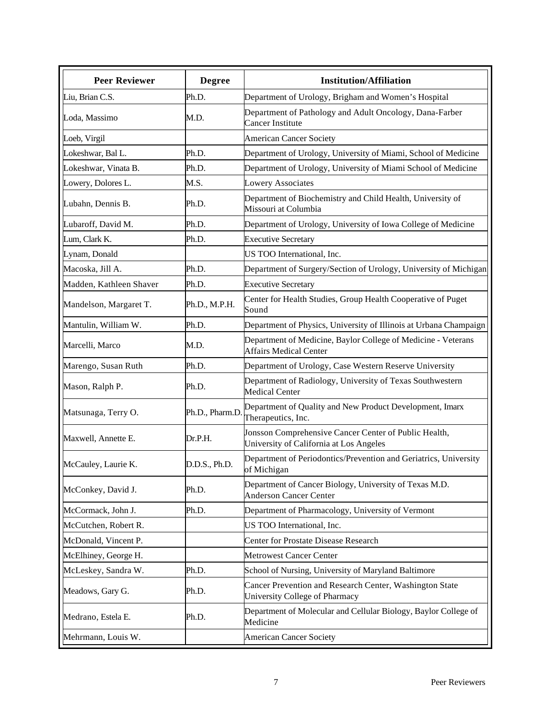| <b>Peer Reviewer</b>    | <b>Degree</b>   | <b>Institution/Affiliation</b>                                                                   |
|-------------------------|-----------------|--------------------------------------------------------------------------------------------------|
| Liu, Brian C.S.         | Ph.D.           | Department of Urology, Brigham and Women's Hospital                                              |
| Loda, Massimo           | M.D.            | Department of Pathology and Adult Oncology, Dana-Farber<br><b>Cancer Institute</b>               |
| Loeb, Virgil            |                 | <b>American Cancer Society</b>                                                                   |
| Lokeshwar, Bal L.       | Ph.D.           | Department of Urology, University of Miami, School of Medicine                                   |
| Lokeshwar, Vinata B.    | Ph.D.           | Department of Urology, University of Miami School of Medicine                                    |
| Lowery, Dolores L.      | M.S.            | <b>Lowery Associates</b>                                                                         |
| Lubahn, Dennis B.       | Ph.D.           | Department of Biochemistry and Child Health, University of<br>Missouri at Columbia               |
| Lubaroff, David M.      | Ph.D.           | Department of Urology, University of Iowa College of Medicine                                    |
| Lum, Clark K.           | Ph.D.           | <b>Executive Secretary</b>                                                                       |
| Lynam, Donald           |                 | US TOO International, Inc.                                                                       |
| Macoska, Jill A.        | Ph.D.           | Department of Surgery/Section of Urology, University of Michigan                                 |
| Madden, Kathleen Shaver | Ph.D.           | <b>Executive Secretary</b>                                                                       |
| Mandelson, Margaret T.  | Ph.D., M.P.H.   | Center for Health Studies, Group Health Cooperative of Puget<br>Sound                            |
| Mantulin, William W.    | Ph.D.           | Department of Physics, University of Illinois at Urbana Champaign                                |
| Marcelli, Marco         | M.D.            | Department of Medicine, Baylor College of Medicine - Veterans<br><b>Affairs Medical Center</b>   |
| Marengo, Susan Ruth     | Ph.D.           | Department of Urology, Case Western Reserve University                                           |
| Mason, Ralph P.         | Ph.D.           | Department of Radiology, University of Texas Southwestern<br><b>Medical Center</b>               |
| Matsunaga, Terry O.     | Ph.D., Pharm.D. | Department of Quality and New Product Development, Imarx<br>Therapeutics, Inc.                   |
| Maxwell, Annette E.     | Dr.P.H.         | Jonsson Comprehensive Cancer Center of Public Health,<br>University of California at Los Angeles |
| McCauley, Laurie K.     | D.D.S., Ph.D.   | Department of Periodontics/Prevention and Geriatrics, University<br>of Michigan                  |
| McConkey, David J.      | Ph.D.           | Department of Cancer Biology, University of Texas M.D.<br><b>Anderson Cancer Center</b>          |
| McCormack, John J.      | Ph.D.           | Department of Pharmacology, University of Vermont                                                |
| McCutchen, Robert R.    |                 | US TOO International, Inc.                                                                       |
| McDonald, Vincent P.    |                 | <b>Center for Prostate Disease Research</b>                                                      |
| McElhiney, George H.    |                 | <b>Metrowest Cancer Center</b>                                                                   |
| McLeskey, Sandra W.     | Ph.D.           | School of Nursing, University of Maryland Baltimore                                              |
| Meadows, Gary G.        | Ph.D.           | Cancer Prevention and Research Center, Washington State<br>University College of Pharmacy        |
| Medrano, Estela E.      | Ph.D.           | Department of Molecular and Cellular Biology, Baylor College of<br>Medicine                      |
| Mehrmann, Louis W.      |                 | <b>American Cancer Society</b>                                                                   |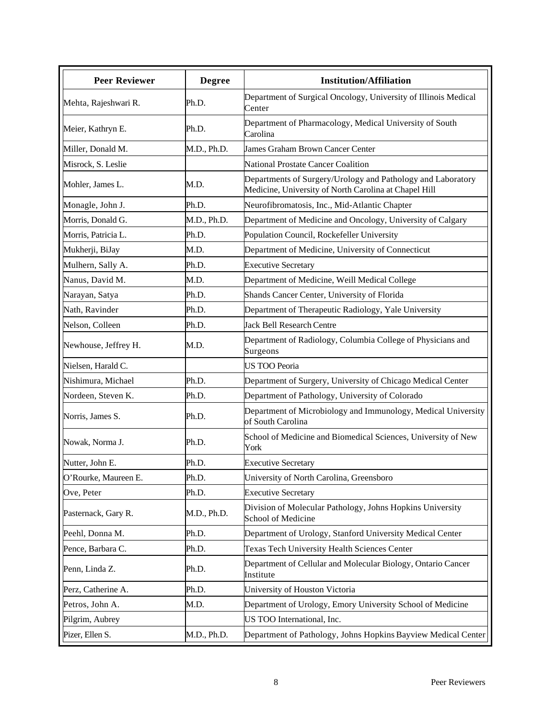| <b>Peer Reviewer</b> | <b>Degree</b> | <b>Institution/Affiliation</b>                                                                                       |
|----------------------|---------------|----------------------------------------------------------------------------------------------------------------------|
| Mehta, Rajeshwari R. | Ph.D.         | Department of Surgical Oncology, University of Illinois Medical<br>Center                                            |
| Meier, Kathryn E.    | Ph.D.         | Department of Pharmacology, Medical University of South<br>Carolina                                                  |
| Miller, Donald M.    | M.D., Ph.D.   | <b>James Graham Brown Cancer Center</b>                                                                              |
| Misrock, S. Leslie   |               | <b>National Prostate Cancer Coalition</b>                                                                            |
| Mohler, James L.     | M.D.          | Departments of Surgery/Urology and Pathology and Laboratory<br>Medicine, University of North Carolina at Chapel Hill |
| Monagle, John J.     | Ph.D.         | Neurofibromatosis, Inc., Mid-Atlantic Chapter                                                                        |
| Morris, Donald G.    | M.D., Ph.D.   | Department of Medicine and Oncology, University of Calgary                                                           |
| Morris, Patricia L.  | Ph.D.         | Population Council, Rockefeller University                                                                           |
| Mukherji, BiJay      | M.D.          | Department of Medicine, University of Connecticut                                                                    |
| Mulhern, Sally A.    | Ph.D.         | <b>Executive Secretary</b>                                                                                           |
| Nanus, David M.      | M.D.          | Department of Medicine, Weill Medical College                                                                        |
| Narayan, Satya       | Ph.D.         | Shands Cancer Center, University of Florida                                                                          |
| Nath, Ravinder       | Ph.D.         | Department of Therapeutic Radiology, Yale University                                                                 |
| Nelson, Colleen      | Ph.D.         | <b>Jack Bell Research Centre</b>                                                                                     |
| Newhouse, Jeffrey H. | M.D.          | Department of Radiology, Columbia College of Physicians and<br>Surgeons                                              |
| Nielsen, Harald C.   |               | <b>US TOO Peoria</b>                                                                                                 |
| Nishimura, Michael   | Ph.D.         | Department of Surgery, University of Chicago Medical Center                                                          |
| Nordeen, Steven K.   | Ph.D.         | Department of Pathology, University of Colorado                                                                      |
| Norris, James S.     | Ph.D.         | Department of Microbiology and Immunology, Medical University<br>of South Carolina                                   |
| Nowak, Norma J.      | Ph.D.         | School of Medicine and Biomedical Sciences, University of New<br>York                                                |
| Nutter, John E.      | Ph.D.         | <b>Executive Secretary</b>                                                                                           |
| O'Rourke, Maureen E. | Ph.D.         | University of North Carolina, Greensboro                                                                             |
| Ove, Peter           | Ph.D.         | <b>Executive Secretary</b>                                                                                           |
| Pasternack, Gary R.  | M.D., Ph.D.   | Division of Molecular Pathology, Johns Hopkins University<br>School of Medicine                                      |
| Peehl, Donna M.      | Ph.D.         | Department of Urology, Stanford University Medical Center                                                            |
| Pence, Barbara C.    | Ph.D.         | Texas Tech University Health Sciences Center                                                                         |
| Penn, Linda Z.       | Ph.D.         | Department of Cellular and Molecular Biology, Ontario Cancer<br>Institute                                            |
| Perz, Catherine A.   | Ph.D.         | University of Houston Victoria                                                                                       |
| Petros, John A.      | M.D.          | Department of Urology, Emory University School of Medicine                                                           |
| Pilgrim, Aubrey      |               | US TOO International, Inc.                                                                                           |
| Pizer, Ellen S.      | M.D., Ph.D.   | Department of Pathology, Johns Hopkins Bayview Medical Center                                                        |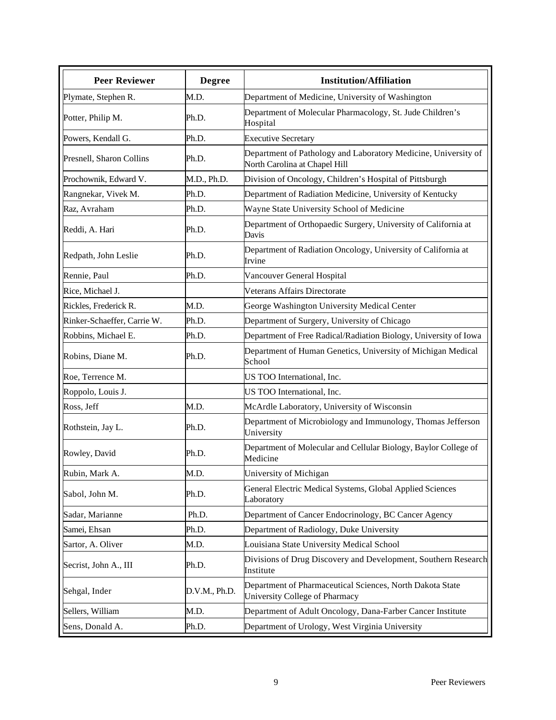| <b>Peer Reviewer</b>        | <b>Degree</b> | <b>Institution/Affiliation</b>                                                                  |
|-----------------------------|---------------|-------------------------------------------------------------------------------------------------|
| Plymate, Stephen R.         | M.D.          | Department of Medicine, University of Washington                                                |
| Potter, Philip M.           | Ph.D.         | Department of Molecular Pharmacology, St. Jude Children's<br>Hospital                           |
| Powers, Kendall G.          | Ph.D.         | <b>Executive Secretary</b>                                                                      |
| Presnell, Sharon Collins    | Ph.D.         | Department of Pathology and Laboratory Medicine, University of<br>North Carolina at Chapel Hill |
| Prochownik, Edward V.       | M.D., Ph.D.   | Division of Oncology, Children's Hospital of Pittsburgh                                         |
| Rangnekar, Vivek M.         | Ph.D.         | Department of Radiation Medicine, University of Kentucky                                        |
| Raz, Avraham                | Ph.D.         | Wayne State University School of Medicine                                                       |
| Reddi, A. Hari              | Ph.D.         | Department of Orthopaedic Surgery, University of California at<br>Davis                         |
| Redpath, John Leslie        | Ph.D.         | Department of Radiation Oncology, University of California at<br>Irvine                         |
| Rennie, Paul                | Ph.D.         | Vancouver General Hospital                                                                      |
| Rice, Michael J.            |               | Veterans Affairs Directorate                                                                    |
| Rickles, Frederick R.       | M.D.          | George Washington University Medical Center                                                     |
| Rinker-Schaeffer, Carrie W. | Ph.D.         | Department of Surgery, University of Chicago                                                    |
| Robbins, Michael E.         | Ph.D.         | Department of Free Radical/Radiation Biology, University of Iowa                                |
| Robins, Diane M.            | Ph.D.         | Department of Human Genetics, University of Michigan Medical<br>School                          |
| Roe, Terrence M.            |               | US TOO International, Inc.                                                                      |
| Roppolo, Louis J.           |               | US TOO International, Inc.                                                                      |
| Ross, Jeff                  | M.D.          | McArdle Laboratory, University of Wisconsin                                                     |
| Rothstein, Jay L.           | Ph.D.         | Department of Microbiology and Immunology, Thomas Jefferson<br>University                       |
| Rowley, David               | Ph.D.         | Department of Molecular and Cellular Biology, Baylor College of<br>Medicine                     |
| Rubin, Mark A               | M.D.          | University of Michigan                                                                          |
| Sabol, John M.              | Ph.D.         | General Electric Medical Systems, Global Applied Sciences<br>Laboratory                         |
| Sadar, Marianne             | Ph.D.         | Department of Cancer Endocrinology, BC Cancer Agency                                            |
| Samei, Ehsan                | Ph.D.         | Department of Radiology, Duke University                                                        |
| Sartor, A. Oliver           | M.D.          | Louisiana State University Medical School                                                       |
| Secrist, John A., III       | Ph.D.         | Divisions of Drug Discovery and Development, Southern Research<br>Institute                     |
| Sehgal, Inder               | D.V.M., Ph.D. | Department of Pharmaceutical Sciences, North Dakota State<br>University College of Pharmacy     |
| Sellers, William            | M.D.          | Department of Adult Oncology, Dana-Farber Cancer Institute                                      |
| Sens, Donald A.             | Ph.D.         | Department of Urology, West Virginia University                                                 |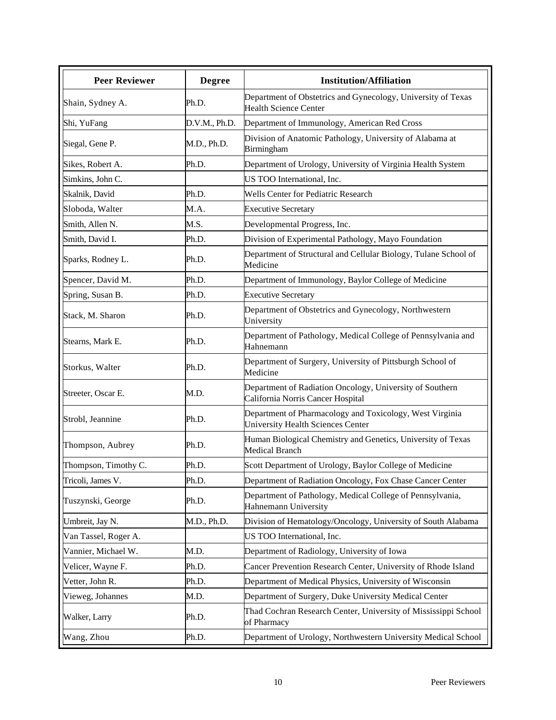| <b>Peer Reviewer</b> | <b>Degree</b> | <b>Institution/Affiliation</b>                                                                |
|----------------------|---------------|-----------------------------------------------------------------------------------------------|
| Shain, Sydney A.     | Ph.D.         | Department of Obstetrics and Gynecology, University of Texas<br><b>Health Science Center</b>  |
| Shi, YuFang          | D.V.M., Ph.D. | Department of Immunology, American Red Cross                                                  |
| Siegal, Gene P.      | M.D., Ph.D.   | Division of Anatomic Pathology, University of Alabama at<br>Birmingham                        |
| Sikes, Robert A.     | Ph.D.         | Department of Urology, University of Virginia Health System                                   |
| Simkins, John C.     |               | US TOO International, Inc.                                                                    |
| Skalnik, David       | Ph.D.         | Wells Center for Pediatric Research                                                           |
| Sloboda, Walter      | M.A.          | <b>Executive Secretary</b>                                                                    |
| Smith, Allen N.      | M.S.          | Developmental Progress, Inc.                                                                  |
| Smith, David I.      | Ph.D.         | Division of Experimental Pathology, Mayo Foundation                                           |
| Sparks, Rodney L.    | Ph.D.         | Department of Structural and Cellular Biology, Tulane School of<br>Medicine                   |
| Spencer, David M.    | Ph.D.         | Department of Immunology, Baylor College of Medicine                                          |
| Spring, Susan B.     | Ph.D.         | <b>Executive Secretary</b>                                                                    |
| Stack, M. Sharon     | Ph.D.         | Department of Obstetrics and Gynecology, Northwestern<br>University                           |
| Stearns, Mark E.     | Ph.D.         | Department of Pathology, Medical College of Pennsylvania and<br>Hahnemann                     |
| Storkus, Walter      | Ph.D.         | Department of Surgery, University of Pittsburgh School of<br>Medicine                         |
| Streeter, Oscar E.   | M.D.          | Department of Radiation Oncology, University of Southern<br>California Norris Cancer Hospital |
| Strobl, Jeannine     | Ph.D.         | Department of Pharmacology and Toxicology, West Virginia<br>University Health Sciences Center |
| Thompson, Aubrey     | Ph.D.         | Human Biological Chemistry and Genetics, University of Texas<br>Medical Branch                |
| Thompson, Timothy C. | Ph.D.         | Scott Department of Urology, Baylor College of Medicine                                       |
| Tricoli, James V.    | Ph.D.         | Department of Radiation Oncology, Fox Chase Cancer Center                                     |
| Tuszynski, George    | Ph.D.         | Department of Pathology, Medical College of Pennsylvania,<br>Hahnemann University             |
| Umbreit, Jay N.      | M.D., Ph.D.   | Division of Hematology/Oncology, University of South Alabama                                  |
| Van Tassel, Roger A. |               | US TOO International, Inc.                                                                    |
| Vannier, Michael W.  | M.D.          | Department of Radiology, University of Iowa                                                   |
| Velicer, Wayne F.    | Ph.D.         | Cancer Prevention Research Center, University of Rhode Island                                 |
| Vetter, John R.      | Ph.D.         | Department of Medical Physics, University of Wisconsin                                        |
| Vieweg, Johannes     | M.D.          | Department of Surgery, Duke University Medical Center                                         |
| Walker, Larry        | Ph.D.         | Thad Cochran Research Center, University of Mississippi School<br>of Pharmacy                 |
| Wang, Zhou           | Ph.D.         | Department of Urology, Northwestern University Medical School                                 |